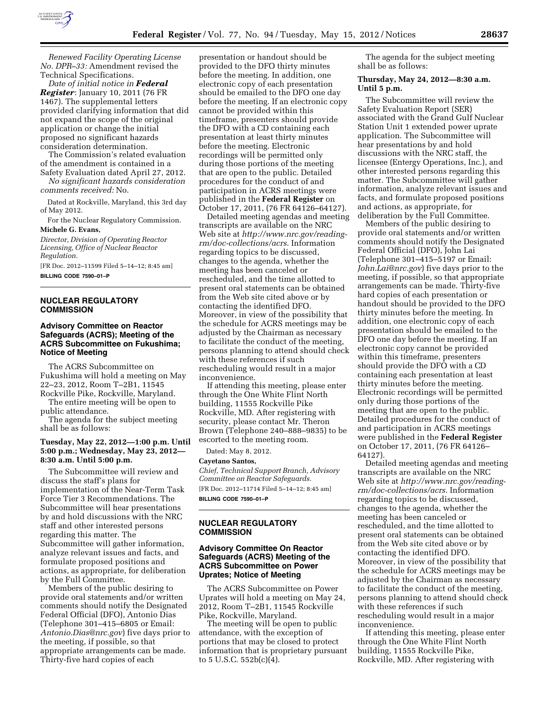

*Renewed Facility Operating License No. DPR–33:* Amendment revised the Technical Specifications.

*Date of initial notice in Federal Register*: January 10, 2011 (76 FR 1467). The supplemental letters provided clarifying information that did not expand the scope of the original application or change the initial proposed no significant hazards consideration determination.

The Commission's related evaluation of the amendment is contained in a

Safety Evaluation dated April 27, 2012. *No significant hazards consideration* 

*comments received:* No.

Dated at Rockville, Maryland, this 3rd day of May 2012.

For the Nuclear Regulatory Commission. **Michele G. Evans,** 

*Director, Division of Operating Reactor Licensing, Office of Nuclear Reactor Regulation.* 

[FR Doc. 2012–11599 Filed 5–14–12; 8:45 am] **BILLING CODE 7590–01–P** 

# **NUCLEAR REGULATORY COMMISSION**

# **Advisory Committee on Reactor Safeguards (ACRS); Meeting of the ACRS Subcommittee on Fukushima; Notice of Meeting**

The ACRS Subcommittee on Fukushima will hold a meeting on May 22–23, 2012, Room T–2B1, 11545 Rockville Pike, Rockville, Maryland.

The entire meeting will be open to public attendance.

The agenda for the subject meeting shall be as follows:

# **Tuesday, May 22, 2012—1:00 p.m. Until 5:00 p.m.; Wednesday, May 23, 2012— 8:30 a.m. Until 5:00 p.m.**

The Subcommittee will review and discuss the staff's plans for implementation of the Near-Term Task Force Tier 3 Recommendations. The Subcommittee will hear presentations by and hold discussions with the NRC staff and other interested persons regarding this matter. The Subcommittee will gather information, analyze relevant issues and facts, and formulate proposed positions and actions, as appropriate, for deliberation by the Full Committee.

Members of the public desiring to provide oral statements and/or written comments should notify the Designated Federal Official (DFO), Antonio Dias (Telephone 301–415–6805 or Email: *[Antonio.Dias@nrc.gov](mailto:Antonio.Dias@nrc.gov)*) five days prior to the meeting, if possible, so that appropriate arrangements can be made. Thirty-five hard copies of each

presentation or handout should be provided to the DFO thirty minutes before the meeting. In addition, one electronic copy of each presentation should be emailed to the DFO one day before the meeting. If an electronic copy cannot be provided within this timeframe, presenters should provide the DFO with a CD containing each presentation at least thirty minutes before the meeting. Electronic recordings will be permitted only during those portions of the meeting that are open to the public. Detailed procedures for the conduct of and participation in ACRS meetings were published in the **Federal Register** on October 17, 2011, (76 FR 64126–64127).

Detailed meeting agendas and meeting transcripts are available on the NRC Web site at *[http://www.nrc.gov/reading](http://www.nrc.gov/reading-rm/doc-collections/acrs)[rm/doc-collections/acrs](http://www.nrc.gov/reading-rm/doc-collections/acrs)*. Information regarding topics to be discussed, changes to the agenda, whether the meeting has been canceled or rescheduled, and the time allotted to present oral statements can be obtained from the Web site cited above or by contacting the identified DFO. Moreover, in view of the possibility that the schedule for ACRS meetings may be adjusted by the Chairman as necessary to facilitate the conduct of the meeting, persons planning to attend should check with these references if such rescheduling would result in a major inconvenience.

If attending this meeting, please enter through the One White Flint North building, 11555 Rockville Pike Rockville, MD. After registering with security, please contact Mr. Theron Brown (Telephone 240–888–9835) to be escorted to the meeting room.

Dated: May 8, 2012.

#### **Cayetano Santos,**

*Chief, Technical Support Branch, Advisory Committee on Reactor Safeguards.*  [FR Doc. 2012–11714 Filed 5–14–12; 8:45 am] **BILLING CODE 7590–01–P** 

# **NUCLEAR REGULATORY COMMISSION**

# **Advisory Committee On Reactor Safeguards (ACRS) Meeting of the ACRS Subcommittee on Power Uprates; Notice of Meeting**

The ACRS Subcommittee on Power Uprates will hold a meeting on May 24, 2012, Room T–2B1, 11545 Rockville Pike, Rockville, Maryland.

The meeting will be open to public attendance, with the exception of portions that may be closed to protect information that is proprietary pursuant to 5 U.S.C. 552b(c)(4).

The agenda for the subject meeting shall be as follows:

# **Thursday, May 24, 2012—8:30 a.m. Until 5 p.m.**

The Subcommittee will review the Safety Evaluation Report (SER) associated with the Grand Gulf Nuclear Station Unit 1 extended power uprate application. The Subcommittee will hear presentations by and hold discussions with the NRC staff, the licensee (Entergy Operations, Inc.), and other interested persons regarding this matter. The Subcommittee will gather information, analyze relevant issues and facts, and formulate proposed positions and actions, as appropriate, for deliberation by the Full Committee.

Members of the public desiring to provide oral statements and/or written comments should notify the Designated Federal Official (DFO), John Lai (Telephone 301–415–5197 or Email: *[John.Lai@nrc.gov](mailto:John.Lai@nrc.gov)*) five days prior to the meeting, if possible, so that appropriate arrangements can be made. Thirty-five hard copies of each presentation or handout should be provided to the DFO thirty minutes before the meeting. In addition, one electronic copy of each presentation should be emailed to the DFO one day before the meeting. If an electronic copy cannot be provided within this timeframe, presenters should provide the DFO with a CD containing each presentation at least thirty minutes before the meeting. Electronic recordings will be permitted only during those portions of the meeting that are open to the public. Detailed procedures for the conduct of and participation in ACRS meetings were published in the **Federal Register**  on October 17, 2011, (76 FR 64126– 64127).

Detailed meeting agendas and meeting transcripts are available on the NRC Web site at *[http://www.nrc.gov/reading](http://www.nrc.gov/reading-rm/doc-collections/acrs)[rm/doc-collections/acrs](http://www.nrc.gov/reading-rm/doc-collections/acrs)*. Information regarding topics to be discussed, changes to the agenda, whether the meeting has been canceled or rescheduled, and the time allotted to present oral statements can be obtained from the Web site cited above or by contacting the identified DFO. Moreover, in view of the possibility that the schedule for ACRS meetings may be adjusted by the Chairman as necessary to facilitate the conduct of the meeting, persons planning to attend should check with these references if such rescheduling would result in a major inconvenience.

If attending this meeting, please enter through the One White Flint North building, 11555 Rockville Pike, Rockville, MD. After registering with